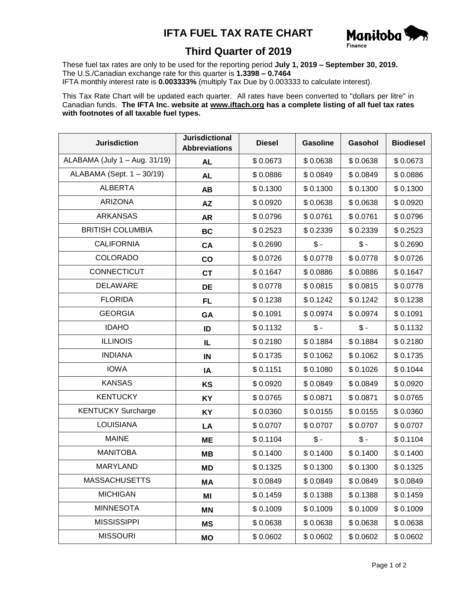## **IFTA FUEL TAX RATE CHART**



## **Third Quarter of 2019**

These fuel tax rates are only to be used for the reporting period **July 1, 2019 – September 30, 2019.** The U.S./Canadian exchange rate for this quarter is **1.3398 – 0.7464** IFTA monthly interest rate is **0.003333%** (multiply Tax Due by 0.003333 to calculate interest).

This Tax Rate Chart will be updated each quarter. All rates have been converted to "dollars per litre" in Canadian funds. **The IFTA Inc. website at www.iftach.org has a complete listing of all fuel tax rates with footnotes of all taxable fuel types.**

| <b>Jurisdiction</b>           | <b>Jurisdictional</b><br><b>Abbreviations</b> | <b>Diesel</b> | <b>Gasoline</b> | Gasohol         | <b>Biodiesel</b> |
|-------------------------------|-----------------------------------------------|---------------|-----------------|-----------------|------------------|
| ALABAMA (July 1 - Aug. 31/19) | <b>AL</b>                                     | \$0.0673      | \$0.0638        | \$0.0638        | \$0.0673         |
| ALABAMA (Sept. 1 - 30/19)     | <b>AL</b>                                     | \$0.0886      | \$0.0849        | \$0.0849        | \$0.0886         |
| <b>ALBERTA</b>                | AB                                            | \$0.1300      | \$0.1300        | \$0.1300        | \$0.1300         |
| <b>ARIZONA</b>                | <b>AZ</b>                                     | \$0.0920      | \$0.0638        | \$0.0638        | \$0.0920         |
| <b>ARKANSAS</b>               | <b>AR</b>                                     | \$0.0796      | \$0.0761        | \$0.0761        | \$0.0796         |
| <b>BRITISH COLUMBIA</b>       | <b>BC</b>                                     | \$0.2523      | \$0.2339        | \$0.2339        | \$0.2523         |
| <b>CALIFORNIA</b>             | CA                                            | \$0.2690      | $$ -$           | $$ -$           | \$0.2690         |
| <b>COLORADO</b>               | co                                            | \$0.0726      | \$0.0778        | \$0.0778        | \$0.0726         |
| CONNECTICUT                   | <b>CT</b>                                     | \$0.1647      | \$0.0886        | \$0.0886        | \$0.1647         |
| <b>DELAWARE</b>               | <b>DE</b>                                     | \$0.0778      | \$0.0815        | \$0.0815        | \$0.0778         |
| <b>FLORIDA</b>                | <b>FL</b>                                     | \$0.1238      | \$0.1242        | \$0.1242        | \$0.1238         |
| <b>GEORGIA</b>                | GA                                            | \$0.1091      | \$0.0974        | \$0.0974        | \$0.1091         |
| <b>IDAHO</b>                  | ID                                            | \$0.1132      | $$ -$           | $\mathsf{\$}$ - | \$0.1132         |
| <b>ILLINOIS</b>               | IL                                            | \$0.2180      | \$0.1884        | \$0.1884        | \$0.2180         |
| <b>INDIANA</b>                | IN                                            | \$0.1735      | \$0.1062        | \$0.1062        | \$0.1735         |
| <b>IOWA</b>                   | IA                                            | \$0.1151      | \$0.1080        | \$0.1026        | \$0.1044         |
| <b>KANSAS</b>                 | <b>KS</b>                                     | \$0.0920      | \$0.0849        | \$0.0849        | \$0.0920         |
| <b>KENTUCKY</b>               | KY                                            | \$0.0765      | \$0.0871        | \$0.0871        | \$0.0765         |
| <b>KENTUCKY Surcharge</b>     | <b>KY</b>                                     | \$0.0360      | \$0.0155        | \$0.0155        | \$0.0360         |
| <b>LOUISIANA</b>              | LA                                            | \$0.0707      | \$0.0707        | \$0.0707        | \$0.0707         |
| <b>MAINE</b>                  | <b>ME</b>                                     | \$0.1104      | $\frac{1}{2}$   | $\mathsf{\$}$ - | \$0.1104         |
| <b>MANITOBA</b>               | MВ                                            | \$0.1400      | \$0.1400        | \$0.1400        | \$0.1400         |
| MARYLAND                      | MD                                            | \$0.1325      | \$0.1300        | \$0.1300        | \$0.1325         |
| <b>MASSACHUSETTS</b>          | MА                                            | \$0.0849      | \$0.0849        | \$0.0849        | \$0.0849         |
| <b>MICHIGAN</b>               | MI                                            | \$0.1459      | \$0.1388        | \$0.1388        | \$0.1459         |
| <b>MINNESOTA</b>              | <b>MN</b>                                     | \$0.1009      | \$0.1009        | \$0.1009        | \$0.1009         |
| <b>MISSISSIPPI</b>            | <b>MS</b>                                     | \$0.0638      | \$0.0638        | \$0.0638        | \$0.0638         |
| <b>MISSOURI</b>               | MO                                            | \$0.0602      | \$0.0602        | \$0.0602        | \$0.0602         |